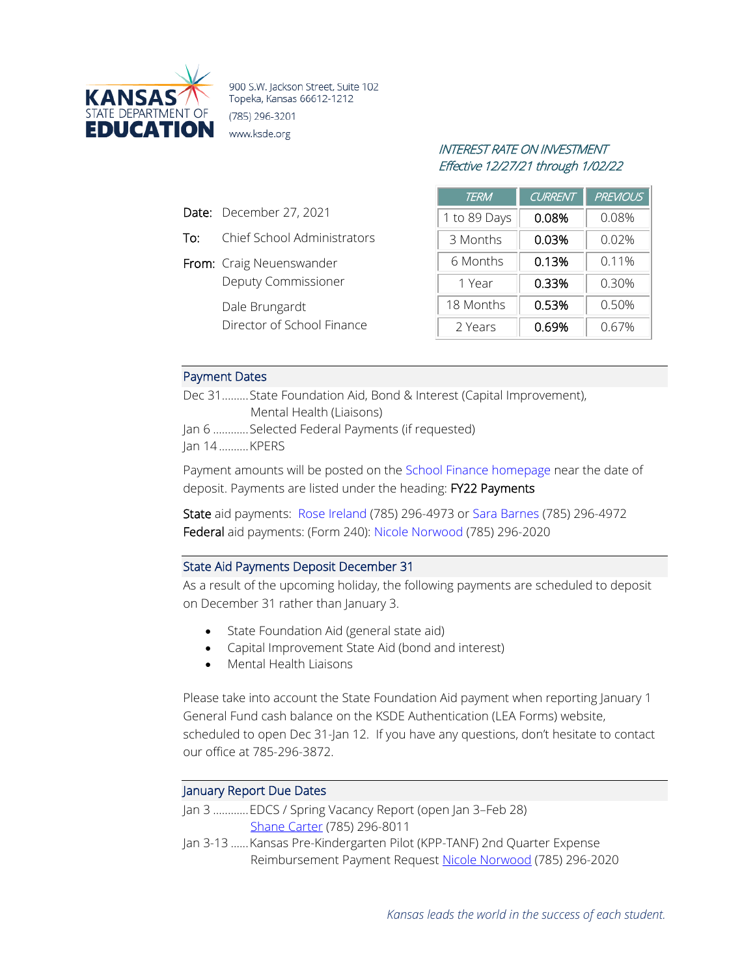

900 S.W. Jackson Street, Suite 102 Topeka, Kansas 66612-1212 (785) 296-3201 www.ksde.org

### INTEREST RATE ON INVESTMENT Effective 12/27/21 through 1/02/22

| <b>TERM</b>  | <b>CURRENT</b> | <b>PREVIOUS</b> |
|--------------|----------------|-----------------|
| 1 to 89 Days | 0.08%          | 0.08%           |
| 3 Months     | 0.03%          | $0.02\%$        |
| 6 Months     | 0.13%          | 0.11%           |
| 1 Year       | 0.33%          | 0.30%           |
| 18 Months    | 0.53%          | 0.50%           |
| 2 Years      | 0.69%          | 0.67%           |

# Payment Dates

Date: December 27, 2021

From: Craig Neuenswander

Dale Brungardt

To: Chief School Administrators

Deputy Commissioner

Director of School Finance

Dec 31.........State Foundation Aid, Bond & Interest (Capital Improvement), Mental Health (Liaisons)

Jan 6 ............Selected Federal Payments (if requested)

Jan 14..........KPERS

Payment amounts will be posted on the [School Finance homepage](http://www.ksde.org/Agency/Fiscal-and-Administrative-Services/School-Finance/Payment-Information) near the date of deposit. Payments are listed under the heading: FY22 Payments

State aid payments: [Rose Ireland](mailto:rireland@ksde.org) (785) 296-4973 or [Sara Barnes](mailto:sbarnes@ksde.org) (785) 296-4972 Federal aid payments: (Form 240): [Nicole Norwood](mailto:nnorwood@ksde.org) (785) 296-2020

#### State Aid Payments Deposit December 31

As a result of the upcoming holiday, the following payments are scheduled to deposit on December 31 rather than January 3.

- State Foundation Aid (general state aid)
- Capital Improvement State Aid (bond and interest)
- Mental Health Liaisons

Please take into account the State Foundation Aid payment when reporting January 1 General Fund cash balance on the KSDE Authentication (LEA Forms) website, scheduled to open Dec 31-Jan 12. If you have any questions, don't hesitate to contact our office at 785-296-3872.

#### January Report Due Dates

- Jan 3 ............EDCS / Spring Vacancy Report (open Jan 3–Feb 28) [Shane Carter](mailto:scarter@ksde.org) (785) 296-8011
- Jan 3-13 ......Kansas Pre-Kindergarten Pilot (KPP-TANF) 2nd Quarter Expense Reimbursement Payment Request [Nicole Norwood](mailto:nnorwood@ksde.org) (785) 296-2020